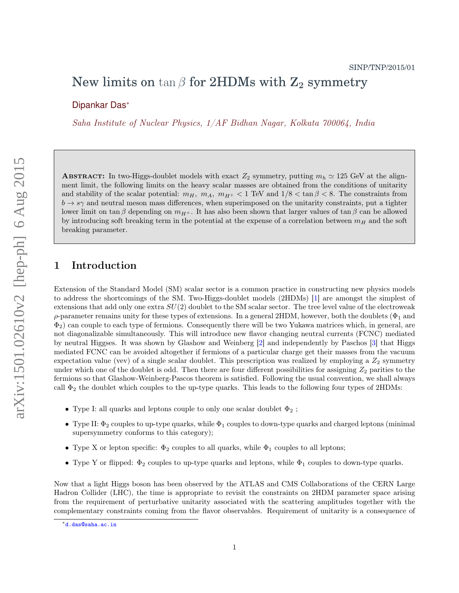# New limits on  $\tan \beta$  for 2HDMs with  $\mathbb{Z}_2$  symmetry

Dipankar Das<sup>∗</sup>

Saha Institute of Nuclear Physics, 1/AF Bidhan Nagar, Kolkata 700064, India

ABSTRACT: In two-Higgs-doublet models with exact  $Z_2$  symmetry, putting  $m_h \simeq 125$  GeV at the alignment limit, the following limits on the heavy scalar masses are obtained from the conditions of unitarity and stability of the scalar potential:  $m_H$ ,  $m_A$ ,  $m_{H^+}$  < 1 TeV and  $1/8 < \tan \beta < 8$ . The constraints from  $b \rightarrow s\gamma$  and neutral meson mass differences, when superimposed on the unitarity constraints, put a tighter lower limit on tan β depending on  $m_{H+}$ . It has also been shown that larger values of tan β can be allowed by introducing soft breaking term in the potential at the expense of a correlation between  $m_H$  and the soft breaking parameter.

## 1 Introduction

Extension of the Standard Model (SM) scalar sector is a common practice in constructing new physics models to address the shortcomings of the SM. Two-Higgs-doublet models (2HDMs) [1] are amongst the simplest of extensions that add only one extra  $SU(2)$  doublet to the SM scalar sector. The tree level value of the electroweak  $ρ$ -parameter remains unity for these types of extensions. In a general 2HDM, however, both the doublets ( $Φ₁$  and  $\Phi_2$ ) can couple to each type of fermions. Consequently there will be two Yukawa matrices which, in general, are not diagonalizable simultaneously. This will introduce new flavor changing neutral currents (FCNC) mediated by neutral Higgses. It was shown by Glashow and Weinberg [2] and independently by Paschos [3] that Higgs mediated FCNC can be avoided altogether if fermions of a particular charge get their masses from the vacuum expectation value (vev) of a single scalar doublet. This prescription was realized by employing a  $Z_2$  symmetry under which one of the doublet is odd. Then there are four different possibilities for assigning  $Z_2$  parities to the fermions so that Glashow-Weinberg-Pascos theorem is satisfied. Following the usual convention, we shall always call  $\Phi_2$  the doublet which couples to the up-type quarks. This leads to the following four types of 2HDMs:

- Type I: all quarks and leptons couple to only one scalar doublet  $\Phi_2$ ;
- Type II:  $\Phi_2$  couples to up-type quarks, while  $\Phi_1$  couples to down-type quarks and charged leptons (minimal supersymmetry conforms to this category);
- Type X or lepton specific:  $\Phi_2$  couples to all quarks, while  $\Phi_1$  couples to all leptons;
- Type Y or flipped:  $\Phi_2$  couples to up-type quarks and leptons, while  $\Phi_1$  couples to down-type quarks.

Now that a light Higgs boson has been observed by the ATLAS and CMS Collaborations of the CERN Large Hadron Collider (LHC), the time is appropriate to revisit the constraints on 2HDM parameter space arising from the requirement of perturbative unitarity associated with the scattering amplitudes together with the complementary constraints coming from the flavor observables. Requirement of unitarity is a consequence of

<sup>∗</sup>d.das@saha.ac.in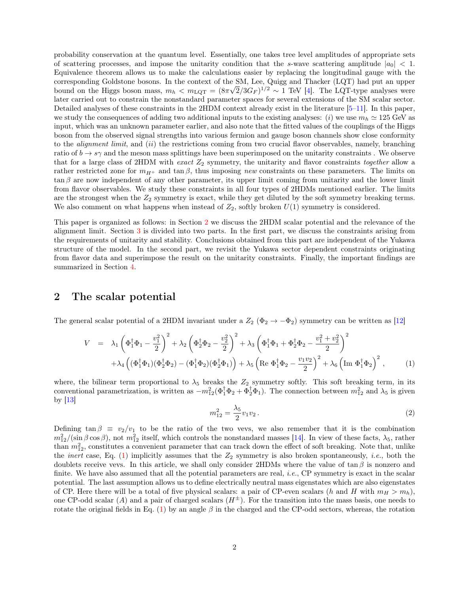probability conservation at the quantum level. Essentially, one takes tree level amplitudes of appropriate sets of scattering processes, and impose the unitarity condition that the s-wave scattering amplitude  $|a_0| < 1$ . Equivalence theorem allows us to make the calculations easier by replacing the longitudinal gauge with the corresponding Goldstone bosons. In the context of the SM, Lee, Quigg and Thacker (LQT) had put an upper bound on the Higgs boson mass,  $m_h < m_{\text{LQT}} = (8\pi\sqrt{2}/3G_F)^{1/2} \sim 1$  TeV [4]. The LQT-type analyses were later carried out to constrain the nonstandard parameter spaces for several extensions of the SM scalar sector. Detailed analyses of these constraints in the 2HDM context already exist in the literature [5–11]. In this paper, we study the consequences of adding two additional inputs to the existing analyses: (i) we use  $m_h \approx 125$  GeV as input, which was an unknown parameter earlier, and also note that the fitted values of the couplings of the Higgs boson from the observed signal strengths into various fermion and gauge boson channels show close conformity to the *alignment limit*, and *(ii)* the restrictions coming from two crucial flavor observables, namely, branching ratio of  $b \to s\gamma$  and the meson mass splittings have been superimposed on the unitarity constraints. We observe that for a large class of 2HDM with exact  $Z_2$  symmetry, the unitarity and flavor constraints together allow a rather restricted zone for  $m_{H+}$  and tan  $\beta$ , thus imposing new constraints on these parameters. The limits on  $\tan \beta$  are now independent of any other parameter, its upper limit coming from unitarity and the lower limit from flavor observables. We study these constraints in all four types of 2HDMs mentioned earlier. The limits are the strongest when the  $Z_2$  symmetry is exact, while they get diluted by the soft symmetry breaking terms. We also comment on what happens when instead of  $Z_2$ , softly broken  $U(1)$  symmetry is considered.

This paper is organized as follows: in Section 2 we discuss the 2HDM scalar potential and the relevance of the alignment limit. Section 3 is divided into two parts. In the first part, we discuss the constraints arising from the requirements of unitarity and stability. Conclusions obtained from this part are independent of the Yukawa structure of the model. In the second part, we revisit the Yukawa sector dependent constraints originating from flavor data and superimpose the result on the unitarity constraints. Finally, the important findings are summarized in Section 4.

#### 2 The scalar potential

The general scalar potential of a 2HDM invariant under a  $Z_2$  ( $\Phi_2 \to -\Phi_2$ ) symmetry can be written as [12]

$$
V = \lambda_1 \left( \Phi_1^{\dagger} \Phi_1 - \frac{v_1^2}{2} \right)^2 + \lambda_2 \left( \Phi_2^{\dagger} \Phi_2 - \frac{v_2^2}{2} \right)^2 + \lambda_3 \left( \Phi_1^{\dagger} \Phi_1 + \Phi_2^{\dagger} \Phi_2 - \frac{v_1^2 + v_2^2}{2} \right)^2
$$
  
+  $\lambda_4 \left( (\Phi_1^{\dagger} \Phi_1)(\Phi_2^{\dagger} \Phi_2) - (\Phi_1^{\dagger} \Phi_2)(\Phi_2^{\dagger} \Phi_1) \right) + \lambda_5 \left( \text{Re } \Phi_1^{\dagger} \Phi_2 - \frac{v_1 v_2}{2} \right)^2 + \lambda_6 \left( \text{Im } \Phi_1^{\dagger} \Phi_2 \right)^2, \tag{1}$ 

where, the bilinear term proportional to  $\lambda_5$  breaks the  $Z_2$  symmetry softly. This soft breaking term, in its conventional parametrization, is written as  $-m_{12}^2(\Phi_1^{\dagger} \Phi_2 + \Phi_2^{\dagger} \Phi_1)$ . The connection between  $m_{12}^2$  and  $\lambda_5$  is given by  $|13|$ 

$$
m_{12}^2 = \frac{\lambda_5}{2} v_1 v_2 \,. \tag{2}
$$

Defining tan  $\beta \equiv v_2/v_1$  to be the ratio of the two vevs, we also remember that it is the combination  $m_{12}^2/(\sin\beta\cos\beta)$ , not  $m_{12}^2$  itself, which controls the nonstandard masses [14]. In view of these facts,  $\lambda_5$ , rather than  $m_{12}^2$ , constitutes a convenient parameter that can track down the effect of soft breaking. Note that, unlike the *inert* case, Eq. (1) implicitly assumes that the  $Z_2$  symmetry is also broken spontaneously, *i.e.*, both the doublets receive vevs. In this article, we shall only consider 2HDMs where the value of  $\tan \beta$  is nonzero and finite. We have also assumed that all the potential parameters are real, *i.e.*, CP symmetry is exact in the scalar potential. The last assumption allows us to define electrically neutral mass eigenstates which are also eigenstates of CP. Here there will be a total of five physical scalars: a pair of CP-even scalars (h and H with  $m_H > m_h$ ), one CP-odd scalar (A) and a pair of charged scalars  $(H^{\pm})$ . For the transition into the mass basis, one needs to rotate the original fields in Eq. (1) by an angle  $\beta$  in the charged and the CP-odd sectors, whereas, the rotation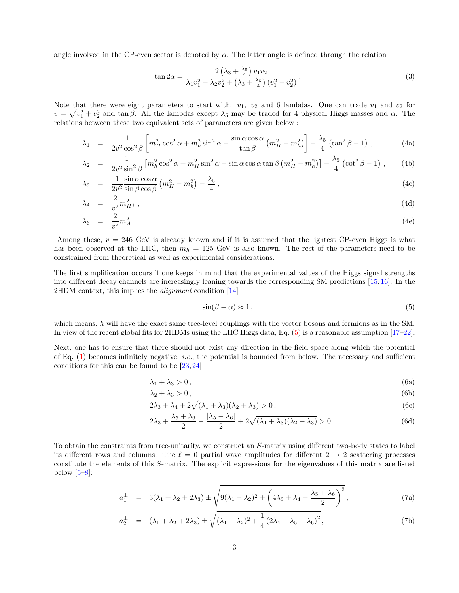angle involved in the CP-even sector is denoted by  $\alpha$ . The latter angle is defined through the relation

$$
\tan 2\alpha = \frac{2\left(\lambda_3 + \frac{\lambda_5}{4}\right)v_1v_2}{\lambda_1v_1^2 - \lambda_2v_2^2 + \left(\lambda_3 + \frac{\lambda_5}{4}\right)(v_1^2 - v_2^2)}.
$$
\n(3)

Note that there were eight parameters to start with:  $v_1$ ,  $v_2$  and 6 lambdas. One can trade  $v_1$  and  $v_2$  for  $v = \sqrt{v_1^2 + v_2^2}$  and tan  $\beta$ . All the lambdas except  $\lambda_5$  may be traded for 4 physical Higgs masses and  $\alpha$ . The relations between these two equivalent sets of parameters are given below :

$$
\lambda_1 = \frac{1}{2v^2 \cos^2 \beta} \left[ m_H^2 \cos^2 \alpha + m_h^2 \sin^2 \alpha - \frac{\sin \alpha \cos \alpha}{\tan \beta} \left( m_H^2 - m_h^2 \right) \right] - \frac{\lambda_5}{4} \left( \tan^2 \beta - 1 \right) ,\tag{4a}
$$

$$
\lambda_2 = \frac{1}{2v^2 \sin^2 \beta} \left[ m_h^2 \cos^2 \alpha + m_H^2 \sin^2 \alpha - \sin \alpha \cos \alpha \tan \beta \left( m_H^2 - m_h^2 \right) \right] - \frac{\lambda_5}{4} \left( \cot^2 \beta - 1 \right) ,\qquad (4b)
$$

$$
\lambda_3 = \frac{1}{2v^2} \frac{\sin \alpha \cos \alpha}{\sin \beta \cos \beta} \left( m_H^2 - m_h^2 \right) - \frac{\lambda_5}{4}, \qquad (4c)
$$

$$
\lambda_4 = \frac{2}{v^2} m_{H^+}^2, \tag{4d}
$$

$$
\lambda_6 = \frac{2}{v^2} m_A^2 \,. \tag{4e}
$$

Among these,  $v = 246$  GeV is already known and if it is assumed that the lightest CP-even Higgs is what has been observed at the LHC, then  $m_h = 125$  GeV is also known. The rest of the parameters need to be constrained from theoretical as well as experimental considerations.

The first simplification occurs if one keeps in mind that the experimental values of the Higgs signal strengths into different decay channels are increasingly leaning towards the corresponding SM predictions [15,16]. In the 2HDM context, this implies the alignment condition [14]

$$
\sin(\beta - \alpha) \approx 1\,,\tag{5}
$$

which means, h will have the exact same tree-level couplings with the vector bosons and fermions as in the SM. In view of the recent global fits for 2HDMs using the LHC Higgs data, Eq. (5) is a reasonable assumption [17–22].

Next, one has to ensure that there should not exist any direction in the field space along which the potential of Eq. (1) becomes infinitely negative, i.e., the potential is bounded from below. The necessary and sufficient conditions for this can be found to be [23, 24]

$$
\lambda_1 + \lambda_3 > 0,\tag{6a}
$$

$$
\lambda_2 + \lambda_3 > 0, \tag{6b}
$$

$$
2\lambda_3 + \lambda_4 + 2\sqrt{(\lambda_1 + \lambda_3)(\lambda_2 + \lambda_3)} > 0,
$$
\n
$$
(6c)
$$

$$
2\lambda_3 + \frac{\lambda_5 + \lambda_6}{2} - \frac{|\lambda_5 - \lambda_6|}{2} + 2\sqrt{(\lambda_1 + \lambda_3)(\lambda_2 + \lambda_3)} > 0. \tag{6d}
$$

To obtain the constraints from tree-unitarity, we construct an S-matrix using different two-body states to label its different rows and columns. The  $\ell = 0$  partial wave amplitudes for different  $2 \rightarrow 2$  scattering processes constitute the elements of this S-matrix. The explicit expressions for the eigenvalues of this matrix are listed below  $[5-8]$ :

$$
a_1^{\pm} = 3(\lambda_1 + \lambda_2 + 2\lambda_3) \pm \sqrt{9(\lambda_1 - \lambda_2)^2 + \left(4\lambda_3 + \lambda_4 + \frac{\lambda_5 + \lambda_6}{2}\right)^2},
$$
\n(7a)

$$
a_2^{\pm} = (\lambda_1 + \lambda_2 + 2\lambda_3) \pm \sqrt{(\lambda_1 - \lambda_2)^2 + \frac{1}{4} (2\lambda_4 - \lambda_5 - \lambda_6)^2},
$$
 (7b)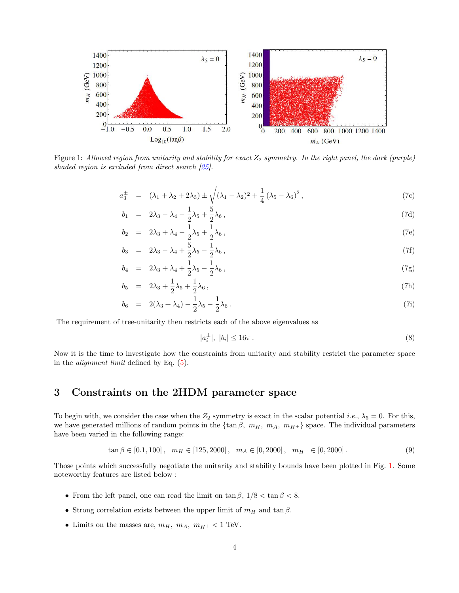

Figure 1: Allowed region from unitarity and stability for exact  $Z_2$  symmetry. In the right panel, the dark (purple) shaded region is excluded from direct search  $\sqrt{25}$ .

$$
a_3^{\pm} = (\lambda_1 + \lambda_2 + 2\lambda_3) \pm \sqrt{(\lambda_1 - \lambda_2)^2 + \frac{1}{4} (\lambda_5 - \lambda_6)^2},
$$
 (7c)

$$
b_1 = 2\lambda_3 - \lambda_4 - \frac{1}{2}\lambda_5 + \frac{5}{2}\lambda_6, \qquad (7d)
$$

$$
b_2 = 2\lambda_3 + \lambda_4 - \frac{1}{2}\lambda_5 + \frac{1}{2}\lambda_6, \qquad (7e)
$$

$$
b_3 = 2\lambda_3 - \lambda_4 + \frac{5}{2}\lambda_5 - \frac{1}{2}\lambda_6, \tag{7f}
$$

$$
b_4 = 2\lambda_3 + \lambda_4 + \frac{1}{2}\lambda_5 - \frac{1}{2}\lambda_6, \qquad (7g)
$$

$$
b_5 = 2\lambda_3 + \frac{1}{2}\lambda_5 + \frac{1}{2}\lambda_6, \tag{7h}
$$

$$
b_6 = 2(\lambda_3 + \lambda_4) - \frac{1}{2}\lambda_5 - \frac{1}{2}\lambda_6.
$$
 (7i)

The requirement of tree-unitarity then restricts each of the above eigenvalues as

$$
|a_i^{\pm}|, \ |b_i| \le 16\pi \,. \tag{8}
$$

Now it is the time to investigate how the constraints from unitarity and stability restrict the parameter space in the alignment limit defined by Eq. (5).

### 3 Constraints on the 2HDM parameter space

To begin with, we consider the case when the  $Z_2$  symmetry is exact in the scalar potential *i.e.*,  $\lambda_5 = 0$ . For this, we have generated millions of random points in the  $\{\tan \beta, m_H, m_A, m_{H^+}\}\$  space. The individual parameters have been varied in the following range:

$$
\tan \beta \in [0.1, 100], \quad m_H \in [125, 2000], \quad m_A \in [0, 2000], \quad m_{H^+} \in [0, 2000]. \tag{9}
$$

Those points which successfully negotiate the unitarity and stability bounds have been plotted in Fig. 1. Some noteworthy features are listed below :

- From the left panel, one can read the limit on  $\tan \beta$ ,  $1/8 < \tan \beta < 8$ .
- Strong correlation exists between the upper limit of  $m_H$  and  $\tan \beta$ .
- Limits on the masses are,  $m_H$ ,  $m_A$ ,  $m_{H^+} < 1$  TeV.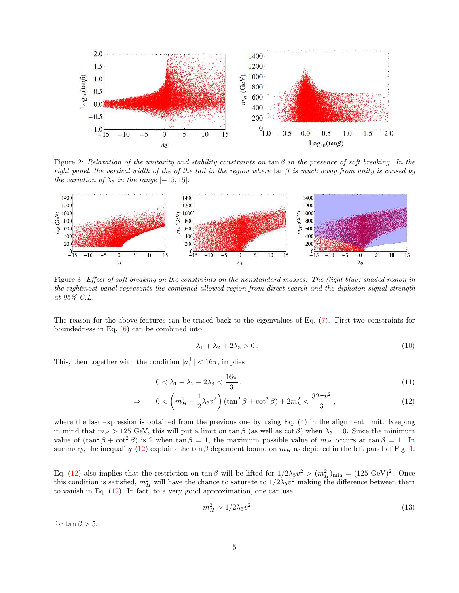

Figure 2: Relaxation of the unitarity and stability constraints on  $\tan \beta$  in the presence of soft breaking. In the right panel, the vertical width of the of the tail in the region where  $\tan \beta$  is much away from unity is caused by the variation of  $\lambda_5$  in the range [−15, 15].



Figure 3: Effect of soft breaking on the constraints on the nonstandard masses. The (light blue) shaded region in the rightmost panel represents the combined allowed region from direct search and the diphoton signal strength at 95% C.L.

The reason for the above features can be traced back to the eigenvalues of Eq. (7). First two constraints for boundedness in Eq.  $(6)$  can be combined into

$$
\lambda_1 + \lambda_2 + 2\lambda_3 > 0. \tag{10}
$$

This, then together with the condition  $|a_1^{\pm}| < 16\pi$ , implies

$$
0 < \lambda_1 + \lambda_2 + 2\lambda_3 < \frac{16\pi}{3} \,,\tag{11}
$$

$$
\Rightarrow \qquad 0 < \left( m_H^2 - \frac{1}{2} \lambda_5 v^2 \right) (\tan^2 \beta + \cot^2 \beta) + 2m_h^2 < \frac{32\pi v^2}{3}, \tag{12}
$$

where the last expression is obtained from the previous one by using Eq. (4) in the alignment limit. Keeping in mind that  $m_H > 125$  GeV, this will put a limit on tan  $\beta$  (as well as cot  $\beta$ ) when  $\lambda_5 = 0$ . Since the minimum value of  $(\tan^2 \beta + \cot^2 \beta)$  is 2 when  $\tan \beta = 1$ , the maximum possible value of  $m_H$  occurs at  $\tan \beta = 1$ . In summary, the inequality (12) explains the tan β dependent bound on  $m_H$  as depicted in the left panel of Fig. 1.

Eq. (12) also implies that the restriction on  $\tan \beta$  will be lifted for  $1/2\lambda_5 v^2 > (m_H^2)_{\text{min}} = (125 \text{ GeV})^2$ . Once this condition is satisfied,  $m_H^2$  will have the chance to saturate to  $1/2\lambda_5v^2$  making the difference between them to vanish in Eq. (12). In fact, to a very good approximation, one can use

$$
m_H^2 \approx 1/2\lambda_5 v^2 \tag{13}
$$

for tan  $\beta > 5$ .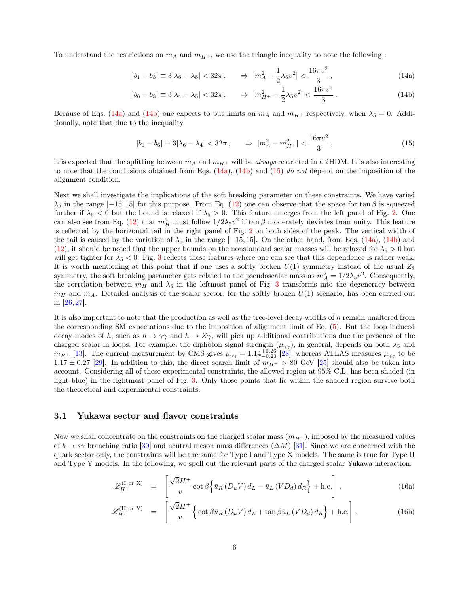To understand the restrictions on  $m_A$  and  $m_{H^+}$ , we use the triangle inequality to note the following :

$$
|b_1 - b_3| \equiv 3|\lambda_6 - \lambda_5| < 32\pi \,, \qquad \Rightarrow \, |m_A^2 - \frac{1}{2}\lambda_5 v^2| < \frac{16\pi v^2}{3} \,, \tag{14a}
$$

$$
|b_6 - b_3| \equiv 3|\lambda_4 - \lambda_5| < 32\pi \,, \qquad \Rightarrow \, |m_{H^+}^2 - \frac{1}{2}\lambda_5 v^2| < \frac{16\pi v^2}{3} \,. \tag{14b}
$$

Because of Eqs. (14a) and (14b) one expects to put limits on  $m_A$  and  $m_{H+}$  respectively, when  $\lambda_5 = 0$ . Additionally, note that due to the inequality

$$
|b_1 - b_6| \equiv 3|\lambda_6 - \lambda_4| < 32\pi \,, \qquad \Rightarrow \, |m_A^2 - m_{H^+}^2| < \frac{16\pi v^2}{3} \,, \tag{15}
$$

it is expected that the splitting between  $m_A$  and  $m_{H^+}$  will be always restricted in a 2HDM. It is also interesting to note that the conclusions obtained from Eqs.  $(14a)$ ,  $(14b)$  and  $(15)$  do not depend on the imposition of the alignment condition.

Next we shall investigate the implications of the soft breaking parameter on these constraints. We have varied  $\lambda_5$  in the range [−15, 15] for this purpose. From Eq. (12) one can observe that the space for tan  $\beta$  is squeezed further if  $\lambda_5 < 0$  but the bound is relaxed if  $\lambda_5 > 0$ . This feature emerges from the left panel of Fig. 2. One can also see from Eq. (12) that  $m_H^2$  must follow  $1/2\lambda_5v^2$  if  $\tan \beta$  moderately deviates from unity. This feature is reflected by the horizontal tail in the right panel of Fig. 2 on both sides of the peak. The vertical width of the tail is caused by the variation of  $\lambda_5$  in the range [−15, 15]. On the other hand, from Eqs. (14a), (14b) and (12), it should be noted that the upper bounds on the nonstandard scalar masses will be relaxed for  $\lambda_5 > 0$  but will get tighter for  $\lambda_5 < 0$ . Fig. 3 reflects these features where one can see that this dependence is rather weak. It is worth mentioning at this point that if one uses a softly broken  $U(1)$  symmetry instead of the usual  $Z_2$ symmetry, the soft breaking parameter gets related to the pseudoscalar mass as  $m_A^2 = 1/2\lambda_5 v^2$ . Consequently, the correlation between  $m_H$  and  $\lambda_5$  in the leftmost panel of Fig. 3 transforms into the degeneracy between  $m_H$  and  $m_A$ . Detailed analysis of the scalar sector, for the softly broken  $U(1)$  scenario, has been carried out in [26, 27].

It is also important to note that the production as well as the tree-level decay widths of h remain unaltered from the corresponding SM expectations due to the imposition of alignment limit of Eq. (5). But the loop induced decay modes of h, such as  $h \to \gamma\gamma$  and  $h \to Z\gamma$ , will pick up additional contributions due the presence of the charged scalar in loops. For example, the diphoton signal strength  $(\mu_{\gamma\gamma})$ , in general, depends on both  $\lambda_5$  and  $m_{H^+}$  [13]. The current measurement by CMS gives  $\mu_{\gamma\gamma} = 1.14^{+0.26}_{-0.23}$  [28], whereas ATLAS measures  $\mu_{\gamma\gamma}$  to be  $1.17 \pm 0.27$  [29]. In addition to this, the direct search limit of  $m_{H^+} > 80$  GeV [25] should also be taken into account. Considering all of these experimental constraints, the allowed region at 95% C.L. has been shaded (in light blue) in the rightmost panel of Fig. 3. Only those points that lie within the shaded region survive both the theoretical and experimental constraints.

#### 3.1 Yukawa sector and flavor constraints

Now we shall concentrate on the constraints on the charged scalar mass  $(m_{H+})$ , imposed by the measured values of  $b \to s\gamma$  branching ratio [30] and neutral meson mass differences  $(\Delta M)$  [31]. Since we are concerned with the quark sector only, the constraints will be the same for Type I and Type X models. The same is true for Type II and Type Y models. In the following, we spell out the relevant parts of the charged scalar Yukawa interaction:

$$
\mathscr{L}_{H^{+}}^{(\text{I or X})} = \left[ \frac{\sqrt{2}H^{+}}{v} \cot \beta \left\{ \bar{u}_{R} \left( D_{u} V \right) d_{L} - \bar{u}_{L} \left( V D_{d} \right) d_{R} \right\} + \text{h.c.} \right], \tag{16a}
$$

$$
\mathscr{L}_{H^{+}}^{(\text{II or Y})} = \left[ \frac{\sqrt{2}H^{+}}{v} \Big\{ \cot \beta \bar{u}_{R} \left( D_{u} V \right) d_{L} + \tan \beta \bar{u}_{L} \left( V D_{d} \right) d_{R} \Big\} + \text{h.c.} \right], \tag{16b}
$$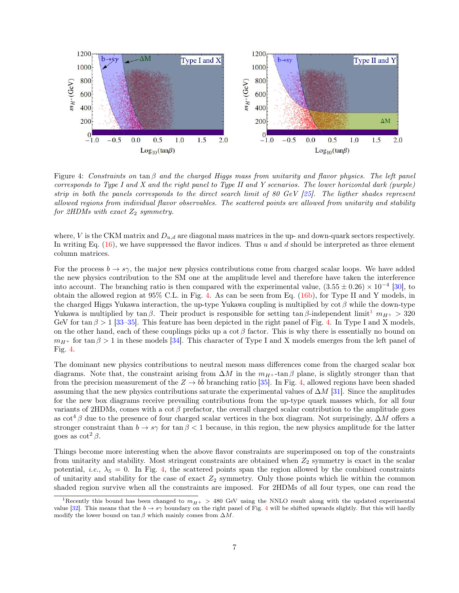

Figure 4: Constraints on tan  $\beta$  and the charged Higgs mass from unitarity and flavor physics. The left panel corresponds to Type I and X and the right panel to Type II and Y scenarios. The lower horizontal dark (purple) strip in both the panels corresponds to the direct search limit of 80 GeV [25]. The ligther shades represent allowed regions from individual flavor observables. The scattered points are allowed from unitarity and stability for 2HDMs with exact  $Z_2$  symmetry.

where, V is the CKM matrix and  $D_{u,d}$  are diagonal mass matrices in the up- and down-quark sectors respectively. In writing Eq.  $(16)$ , we have suppressed the flavor indices. Thus u and d should be interpreted as three element column matrices.

For the process  $b \to s\gamma$ , the major new physics contributions come from charged scalar loops. We have added the new physics contribution to the SM one at the amplitude level and therefore have taken the interference into account. The branching ratio is then compared with the experimental value,  $(3.55 \pm 0.26) \times 10^{-4}$  [30], to obtain the allowed region at 95% C.L. in Fig. 4. As can be seen from Eq. (16b), for Type II and Y models, in the charged Higgs Yukawa interaction, the up-type Yukawa coupling is multiplied by  $\cot \beta$  while the down-type Yukawa is multiplied by tan β. Their product is responsible for setting tan β-independent limit<sup>1</sup>  $m_{H+} > 320$ GeV for tan  $\beta > 1$  [33–35]. This feature has been depicted in the right panel of Fig. 4. In Type I and X models, on the other hand, each of these couplings picks up a cot  $\beta$  factor. This is why there is essentially no bound on  $m_{H+}$  for tan  $\beta > 1$  in these models [34]. This character of Type I and X models emerges from the left panel of Fig. 4.

The dominant new physics contributions to neutral meson mass differences come from the charged scalar box diagrams. Note that, the constraint arising from  $\Delta M$  in the  $m_{H^+}$ -tan  $\beta$  plane, is slightly stronger than that from the precision measurement of the  $Z \to b\bar{b}$  branching ratio [35]. In Fig. 4, allowed regions have been shaded assuming that the new physics contributions saturate the experimental values of  $\Delta M$  [31]. Since the amplitudes for the new box diagrams receive prevailing contributions from the up-type quark masses which, for all four variants of 2HDMs, comes with a cot  $\beta$  prefactor, the overall charged scalar contribution to the amplitude goes as cot<sup>4</sup> β due to the presence of four charged scalar vertices in the box diagram. Not surprisingly,  $\Delta M$  offers a stronger constraint than  $b \to s\gamma$  for tan  $\beta < 1$  because, in this region, the new physics amplitude for the latter goes as  $\cot^2 \beta$ .

Things become more interesting when the above flavor constraints are superimposed on top of the constraints from unitarity and stability. Most stringent constraints are obtained when  $Z_2$  symmetry is exact in the scalar potential, *i.e.*,  $\lambda_5 = 0$ . In Fig. 4, the scattered points span the region allowed by the combined constraints of unitarity and stability for the case of exact  $Z_2$  symmetry. Only those points which lie within the common shaded region survive when all the constraints are imposed. For 2HDMs of all four types, one can read the

<sup>&</sup>lt;sup>1</sup>Recently this bound has been changed to  $m_{H+} > 480$  GeV using the NNLO result along with the updated experimental value [32]. This means that the  $b \to s\gamma$  boundary on the right panel of Fig. 4 will be shifted upwards slightly. But this will hardly modify the lower bound on tan  $\beta$  which mainly comes from  $\Delta M$ .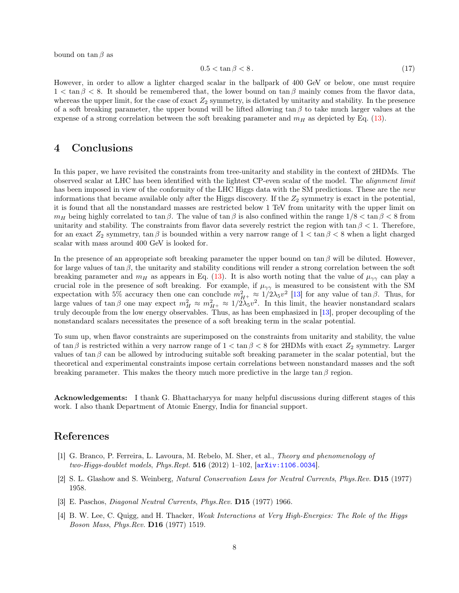bound on  $\tan \beta$  as

$$
0.5 < \tan \beta < 8. \tag{17}
$$

However, in order to allow a lighter charged scalar in the ballpark of 400 GeV or below, one must require  $1 < \tan \beta < 8$ . It should be remembered that, the lower bound on  $\tan \beta$  mainly comes from the flavor data, whereas the upper limit, for the case of exact  $Z_2$  symmetry, is dictated by unitarity and stability. In the presence of a soft breaking parameter, the upper bound will be lifted allowing  $\tan \beta$  to take much larger values at the expense of a strong correlation between the soft breaking parameter and  $m_H$  as depicted by Eq. (13).

### 4 Conclusions

In this paper, we have revisited the constraints from tree-unitarity and stability in the context of 2HDMs. The observed scalar at LHC has been identified with the lightest CP-even scalar of the model. The alignment limit has been imposed in view of the conformity of the LHC Higgs data with the SM predictions. These are the new informations that became available only after the Higgs discovery. If the  $Z_2$  symmetry is exact in the potential, it is found that all the nonstandard masses are restricted below 1 TeV from unitarity with the upper limit on  $m_H$  being highly correlated to tan β. The value of tan β is also confined within the range  $1/8 < \tan \beta < 8$  from unitarity and stability. The constraints from flavor data severely restrict the region with  $\tan \beta < 1$ . Therefore, for an exact  $Z_2$  symmetry,  $\tan \beta$  is bounded within a very narrow range of  $1 < \tan \beta < 8$  when a light charged scalar with mass around 400 GeV is looked for.

In the presence of an appropriate soft breaking parameter the upper bound on  $\tan \beta$  will be diluted. However, for large values of tan  $\beta$ , the unitarity and stability conditions will render a strong correlation between the soft breaking parameter and  $m_H$  as appears in Eq. (13). It is also worth noting that the value of  $\mu_{\gamma\gamma}$  can play a crucial role in the presence of soft breaking. For example, if  $\mu_{\gamma\gamma}$  is measured to be consistent with the SM expectation with 5% accuracy then one can conclude  $m_{H^+}^2 \approx 1/2\lambda_5 v^2$  [13] for any value of tan  $\beta$ . Thus, for large values of  $\tan \beta$  one may expect  $m_H^2 \approx m_{H^+}^2 \approx 1/2\lambda_5 v^2$ . In this limit, the heavier nonstandard scalars truly decouple from the low energy observables. Thus, as has been emphasized in [13], proper decoupling of the nonstandard scalars necessitates the presence of a soft breaking term in the scalar potential.

To sum up, when flavor constraints are superimposed on the constraints from unitarity and stability, the value of tan β is restricted within a very narrow range of  $1 < \tan \beta < 8$  for 2HDMs with exact  $Z_2$  symmetry. Larger values of tan  $\beta$  can be allowed by introducing suitable soft breaking parameter in the scalar potential, but the theoretical and experimental constraints impose certain correlations between nonstandard masses and the soft breaking parameter. This makes the theory much more predictive in the large  $\tan \beta$  region.

Acknowledgements: I thank G. Bhattacharyya for many helpful discussions during different stages of this work. I also thank Department of Atomic Energy, India for financial support.

### References

- [1] G. Branco, P. Ferreira, L. Lavoura, M. Rebelo, M. Sher, et al., Theory and phenomenology of two-Higgs-doublet models, Phys.Rept.  $516$  (2012) 1-102,  $[array:1106.0034]$ .
- [2] S. L. Glashow and S. Weinberg, Natural Conservation Laws for Neutral Currents, Phys.Rev. D15 (1977) 1958.
- [3] E. Paschos, Diagonal Neutral Currents, Phys.Rev. D15 (1977) 1966.
- [4] B. W. Lee, C. Quigg, and H. Thacker, Weak Interactions at Very High-Energies: The Role of the Higgs Boson Mass, Phys.Rev. D16 (1977) 1519.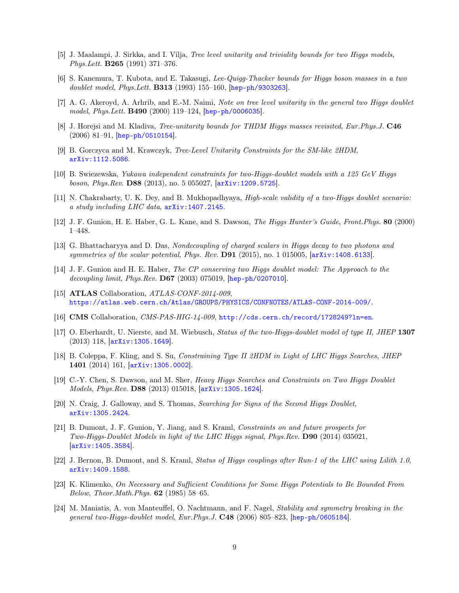- [5] J. Maalampi, J. Sirkka, and I. Vilja, Tree level unitarity and triviality bounds for two Higgs models, Phys.Lett. B265 (1991) 371–376.
- [6] S. Kanemura, T. Kubota, and E. Takasugi, Lee-Quigg-Thacker bounds for Higgs boson masses in a two doublet model, Phys.Lett. B313 (1993) 155–160, [hep-ph/9303263].
- [7] A. G. Akeroyd, A. Arhrib, and E.-M. Naimi, Note on tree level unitarity in the general two Higgs doublet model, Phys.Lett. B490 (2000) 119–124, [hep-ph/0006035].
- [8] J. Horejsi and M. Kladiva, *Tree-unitarity bounds for THDM Higgs masses revisited, Eur.Phys.J.* **C46**  $(2006)$  81–91, [hep-ph/0510154].
- [9] B. Gorczyca and M. Krawczyk, Tree-Level Unitarity Constraints for the SM-like 2HDM, arXiv:1112.5086.
- [10] B. Swiezewska, Yukawa independent constraints for two-Higgs-doublet models with a 125 GeV Higgs boson, Phys.Rev. D88 (2013), no. 5 055027, [arXiv:1209.5725].
- [11] N. Chakrabarty, U. K. Dey, and B. Mukhopadhyaya, *High-scale validity of a two-Higgs doublet scenario:* a study including LHC data,  $arXiv:1407.2145$ .
- [12] J. F. Gunion, H. E. Haber, G. L. Kane, and S. Dawson, The Higgs Hunter's Guide, Front.Phys. 80 (2000) 1–448.
- [13] G. Bhattacharyya and D. Das, Nondecoupling of charged scalars in Higgs decay to two photons and symmetries of the scalar potential, Phys. Rev. D91 (2015), no. 1 015005,  $\left[$ arXiv:1408.6133.
- [14] J. F. Gunion and H. E. Haber, The CP conserving two Higgs doublet model: The Approach to the decoupling limit, Phys.Rev.  $D67$  (2003) 075019,  $[hep-ph/0207010]$ .
- [15] **ATLAS** Collaboration, *ATLAS-CONF-2014-009*, https://atlas.web.cern.ch/Atlas/GROUPS/PHYSICS/CONFNOTES/ATLAS-CONF-2014-009/.
- [16] CMS Collaboration, CMS-PAS-HIG-14-009, http://cds.cern.ch/record/1728249?ln=en.
- [17] O. Eberhardt, U. Nierste, and M. Wiebusch, Status of the two-Higgs-doublet model of type II, JHEP 1307 (2013) 118, [arXiv:1305.1649].
- [18] B. Coleppa, F. Kling, and S. Su, Constraining Type II 2HDM in Light of LHC Higgs Searches, JHEP 1401 (2014) 161, [arXiv:1305.0002].
- [19] C.-Y. Chen, S. Dawson, and M. Sher, Heavy Higgs Searches and Constraints on Two Higgs Doublet Models, *Phys.Rev.* **D88** (2013) 015018,  $\overline{arXiv:1305.1624}$ .
- [20] N. Craig, J. Galloway, and S. Thomas, Searching for Signs of the Second Higgs Doublet, arXiv:1305.2424.
- [21] B. Dumont, J. F. Gunion, Y. Jiang, and S. Kraml, Constraints on and future prospects for Two-Higgs-Doublet Models in light of the LHC Higgs signal, Phys.Rev. D90 (2014) 035021, [arXiv:1405.3584].
- [22] J. Bernon, B. Dumont, and S. Kraml, Status of Higgs couplings after Run-1 of the LHC using Lilith 1.0, arXiv:1409.1588.
- [23] K. Klimenko, On Necessary and Sufficient Conditions for Some Higgs Potentials to Be Bounded From Below, Theor.Math.Phys. 62 (1985) 58–65.
- [24] M. Maniatis, A. von Manteuffel, O. Nachtmann, and F. Nagel, Stability and symmetry breaking in the general two-Higgs-doublet model, Eur.Phys.J. C48 (2006) 805–823, [hep-ph/0605184].